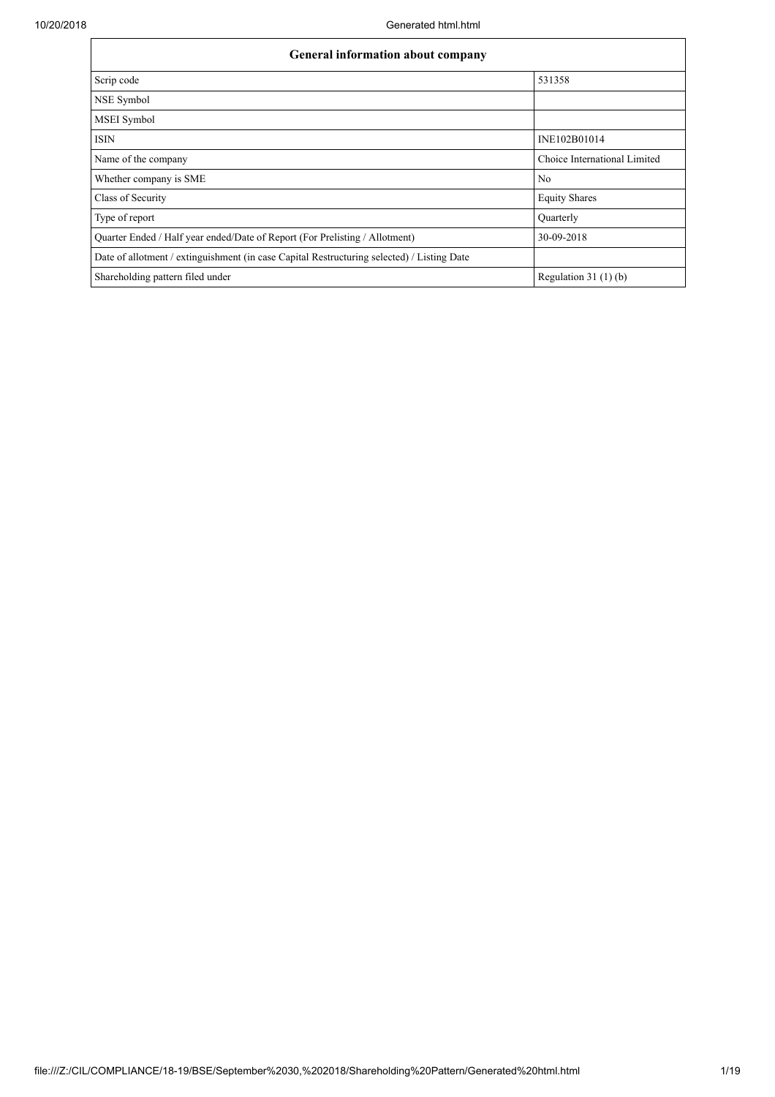| <b>General information about company</b>                                                   |                              |  |  |  |  |  |  |  |
|--------------------------------------------------------------------------------------------|------------------------------|--|--|--|--|--|--|--|
| Scrip code                                                                                 | 531358                       |  |  |  |  |  |  |  |
| NSE Symbol                                                                                 |                              |  |  |  |  |  |  |  |
| <b>MSEI</b> Symbol                                                                         |                              |  |  |  |  |  |  |  |
| <b>ISIN</b>                                                                                | INE102B01014                 |  |  |  |  |  |  |  |
| Name of the company                                                                        | Choice International Limited |  |  |  |  |  |  |  |
| Whether company is SME                                                                     | N <sub>0</sub>               |  |  |  |  |  |  |  |
| Class of Security                                                                          | <b>Equity Shares</b>         |  |  |  |  |  |  |  |
| Type of report                                                                             | Ouarterly                    |  |  |  |  |  |  |  |
| Quarter Ended / Half year ended/Date of Report (For Prelisting / Allotment)                | 30-09-2018                   |  |  |  |  |  |  |  |
| Date of allotment / extinguishment (in case Capital Restructuring selected) / Listing Date |                              |  |  |  |  |  |  |  |
| Shareholding pattern filed under                                                           | Regulation $31(1)(b)$        |  |  |  |  |  |  |  |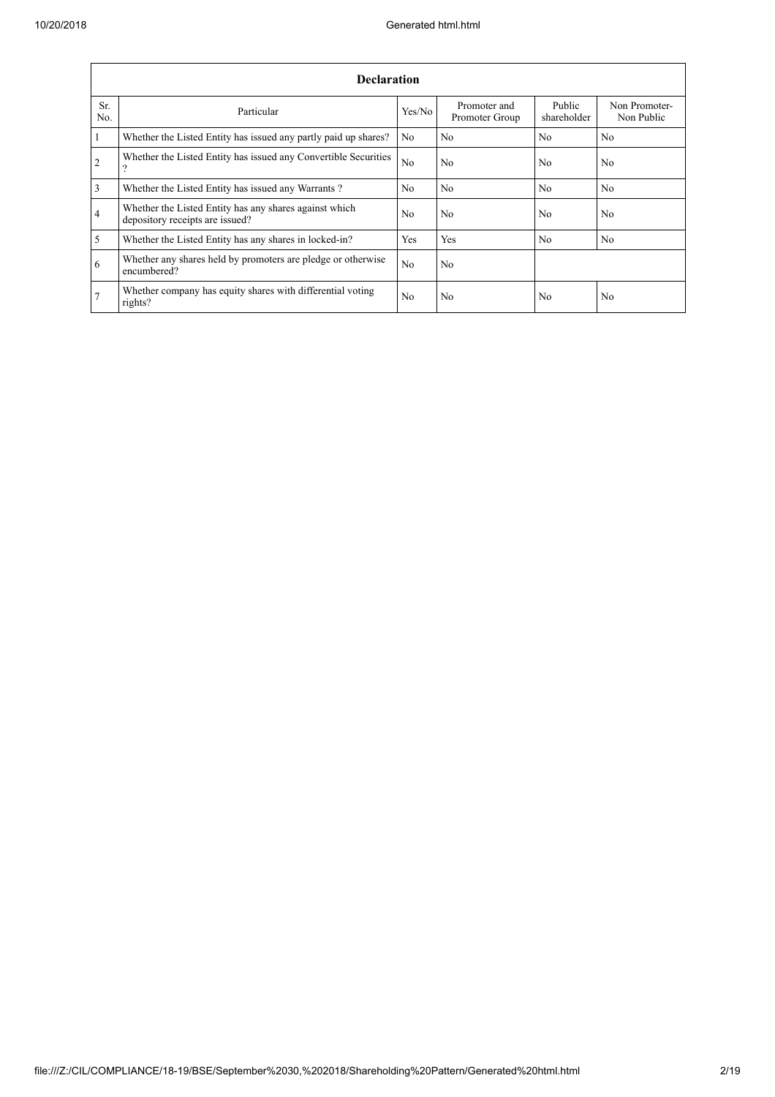|                | <b>Declaration</b>                                                                        |                |                                |                       |                             |  |  |  |  |  |  |  |
|----------------|-------------------------------------------------------------------------------------------|----------------|--------------------------------|-----------------------|-----------------------------|--|--|--|--|--|--|--|
| Sr.<br>No.     | Particular                                                                                | Yes/No         | Promoter and<br>Promoter Group | Public<br>shareholder | Non Promoter-<br>Non Public |  |  |  |  |  |  |  |
| $\vert$ 1      | Whether the Listed Entity has issued any partly paid up shares?                           | N <sub>0</sub> | N <sub>o</sub>                 | N <sub>0</sub>        | N <sub>0</sub>              |  |  |  |  |  |  |  |
| $\overline{2}$ | Whether the Listed Entity has issued any Convertible Securities<br>$\Omega$               | No             | N <sub>0</sub>                 | N <sub>0</sub>        | N <sub>0</sub>              |  |  |  |  |  |  |  |
| $\overline{3}$ | Whether the Listed Entity has issued any Warrants?                                        | N <sub>0</sub> | N <sub>o</sub>                 | N <sub>0</sub>        | N <sub>0</sub>              |  |  |  |  |  |  |  |
| $\overline{4}$ | Whether the Listed Entity has any shares against which<br>depository receipts are issued? | N <sub>0</sub> | N <sub>0</sub>                 | No                    | N <sub>0</sub>              |  |  |  |  |  |  |  |
| $\overline{5}$ | Whether the Listed Entity has any shares in locked-in?                                    | Yes            | Yes                            | N <sub>0</sub>        | N <sub>0</sub>              |  |  |  |  |  |  |  |
| 6              | Whether any shares held by promoters are pledge or otherwise<br>encumbered?               | N <sub>0</sub> | N <sub>o</sub>                 |                       |                             |  |  |  |  |  |  |  |
| 7              | Whether company has equity shares with differential voting<br>rights?                     | N <sub>0</sub> | N <sub>0</sub>                 | N <sub>0</sub>        | N <sub>0</sub>              |  |  |  |  |  |  |  |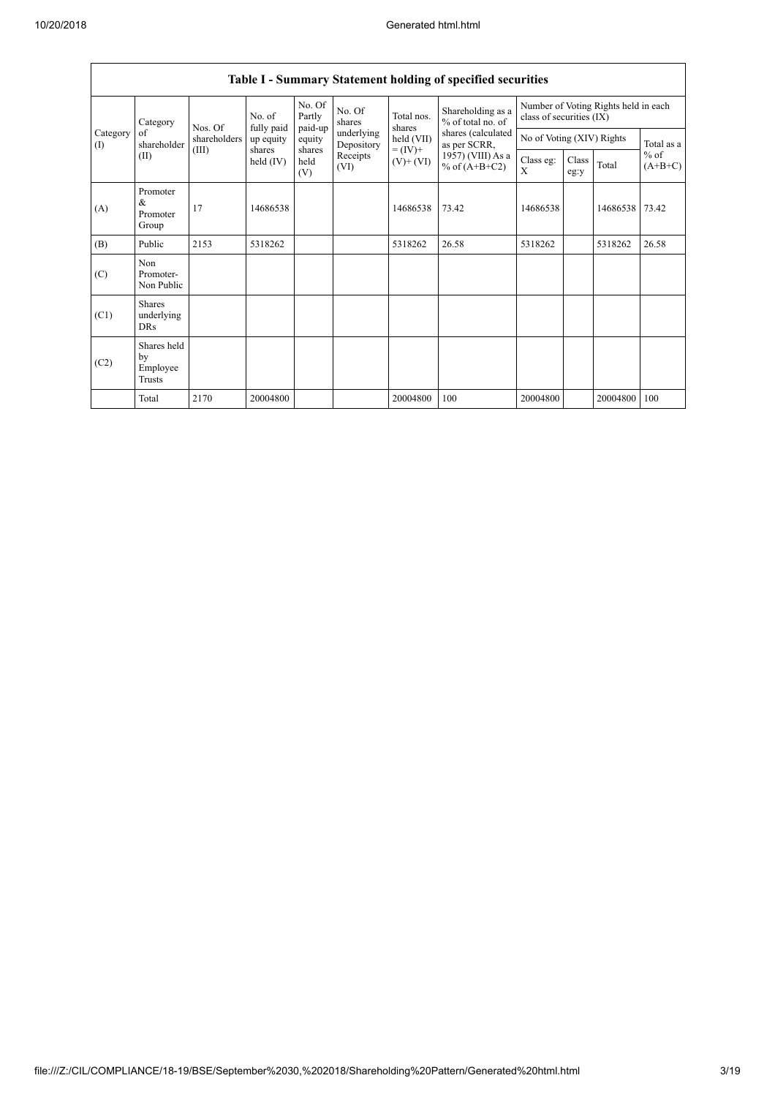|                 | <b>Table I - Summary Statement holding of specified securities</b> |              |                       |                       |                                    |                                      |                                          |               |                                                                  |                     |            |  |  |
|-----------------|--------------------------------------------------------------------|--------------|-----------------------|-----------------------|------------------------------------|--------------------------------------|------------------------------------------|---------------|------------------------------------------------------------------|---------------------|------------|--|--|
|                 | Category                                                           | Nos. Of      | No. of<br>fully paid  | No. Of<br>Partly      | No. Of<br>shares                   | Total nos.<br>shares                 | Shareholding as a<br>$%$ of total no. of |               | Number of Voting Rights held in each<br>class of securities (IX) |                     |            |  |  |
| Category<br>(1) | of<br>shareholder                                                  | shareholders | up equity             | paid-up<br>equity     | underlying<br>Depository           | held (VII)<br>$= (IV) +$             | shares (calculated<br>as per SCRR,       |               | No of Voting (XIV) Rights                                        |                     | Total as a |  |  |
|                 | (II)                                                               | (III)        | shares<br>held $(IV)$ | shares<br>held<br>(V) | Receipts<br>$(V)$ + $(VI)$<br>(VI) | 1957) (VIII) As a<br>% of $(A+B+C2)$ | Class eg:<br>X                           | Class<br>eg:y | Total                                                            | $%$ of<br>$(A+B+C)$ |            |  |  |
| (A)             | Promoter<br>&<br>Promoter<br>Group                                 | 17           | 14686538              |                       |                                    | 14686538                             | 73.42                                    | 14686538      |                                                                  | 14686538            | 73.42      |  |  |
| (B)             | Public                                                             | 2153         | 5318262               |                       |                                    | 5318262                              | 26.58                                    | 5318262       |                                                                  | 5318262             | 26.58      |  |  |
| (C)             | Non<br>Promoter-<br>Non Public                                     |              |                       |                       |                                    |                                      |                                          |               |                                                                  |                     |            |  |  |
| (C1)            | <b>Shares</b><br>underlying<br><b>DRs</b>                          |              |                       |                       |                                    |                                      |                                          |               |                                                                  |                     |            |  |  |
| (C2)            | Shares held<br>by<br>Employee<br><b>Trusts</b>                     |              |                       |                       |                                    |                                      |                                          |               |                                                                  |                     |            |  |  |
|                 | Total                                                              | 2170         | 20004800              |                       |                                    | 20004800                             | 100                                      | 20004800      |                                                                  | 20004800            | 100        |  |  |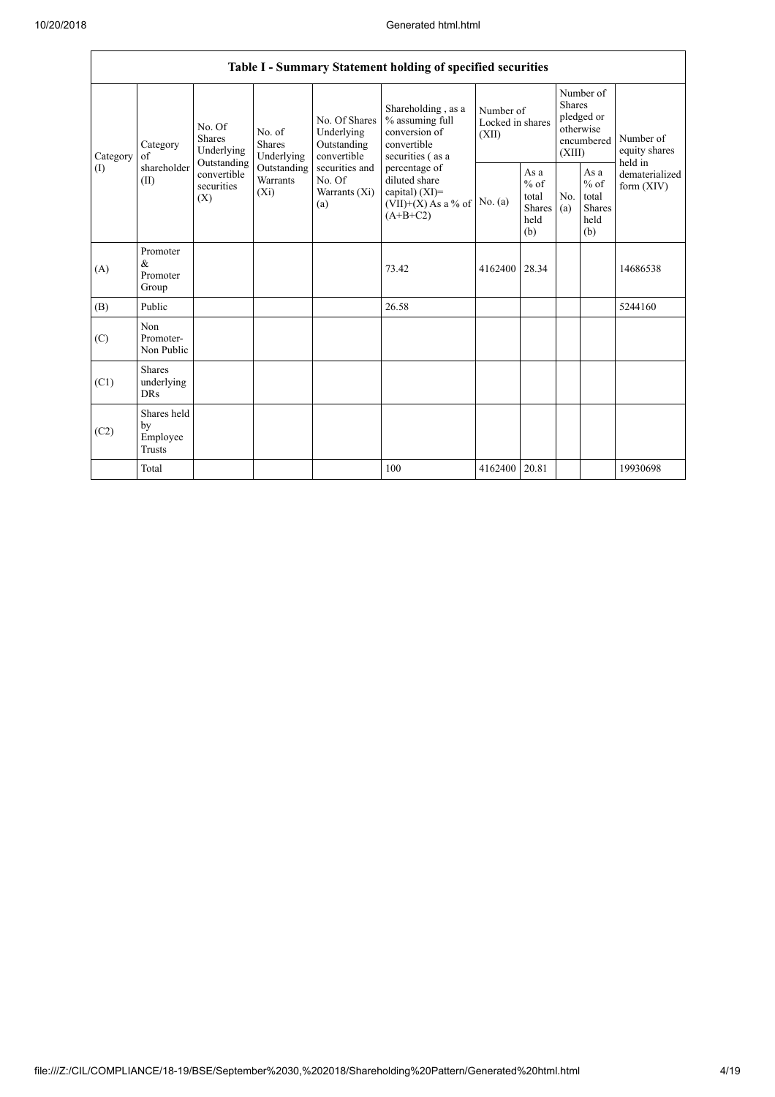|                            |                                                |                                                                                                                                                                                                                                         |         |                                                           | Table I - Summary Statement holding of specified securities                               |                                                         |                                                                        |  |                                                                         |          |
|----------------------------|------------------------------------------------|-----------------------------------------------------------------------------------------------------------------------------------------------------------------------------------------------------------------------------------------|---------|-----------------------------------------------------------|-------------------------------------------------------------------------------------------|---------------------------------------------------------|------------------------------------------------------------------------|--|-------------------------------------------------------------------------|----------|
| Category                   | Category<br>of                                 | No. Of<br>No. of<br>Shares<br><b>Shares</b><br>Underlying<br>Underlying                                                                                                                                                                 |         | No. Of Shares<br>Underlying<br>Outstanding<br>convertible | Shareholding, as a<br>% assuming full<br>conversion of<br>convertible<br>securities (as a | Number of<br>Locked in shares<br>(XII)                  | Number of<br>Shares<br>pledged or<br>otherwise<br>encumbered<br>(XIII) |  | Number of<br>equity shares<br>held in<br>dematerialized<br>form $(XIV)$ |          |
| $\left( \mathrm{I}\right)$ | shareholder<br>(II)                            | Outstanding<br>securities and<br>Outstanding<br>percentage of<br>convertible<br>Warrants<br>diluted share<br>No. Of<br>securities<br>capital) $(XI)$ =<br>$(X_i)$<br>Warrants (Xi)<br>(X)<br>$(VII)+(X)$ As a % of<br>(a)<br>$(A+B+C2)$ | No. (a) | As a<br>$%$ of<br>total<br><b>Shares</b><br>held<br>(b)   | No.<br>(a)                                                                                | As a<br>$%$ of<br>total<br><b>Shares</b><br>held<br>(b) |                                                                        |  |                                                                         |          |
| (A)                        | Promoter<br>$\&$<br>Promoter<br>Group          |                                                                                                                                                                                                                                         |         |                                                           | 73.42                                                                                     | 4162400                                                 | 28.34                                                                  |  |                                                                         | 14686538 |
| (B)                        | Public                                         |                                                                                                                                                                                                                                         |         |                                                           | 26.58                                                                                     |                                                         |                                                                        |  |                                                                         | 5244160  |
| (C)                        | Non<br>Promoter-<br>Non Public                 |                                                                                                                                                                                                                                         |         |                                                           |                                                                                           |                                                         |                                                                        |  |                                                                         |          |
| (C1)                       | <b>Shares</b><br>underlying<br><b>DRs</b>      |                                                                                                                                                                                                                                         |         |                                                           |                                                                                           |                                                         |                                                                        |  |                                                                         |          |
| (C2)                       | Shares held<br>by<br>Employee<br><b>Trusts</b> |                                                                                                                                                                                                                                         |         |                                                           |                                                                                           |                                                         |                                                                        |  |                                                                         |          |
|                            | Total                                          |                                                                                                                                                                                                                                         |         |                                                           | 100                                                                                       | 4162400                                                 | 20.81                                                                  |  |                                                                         | 19930698 |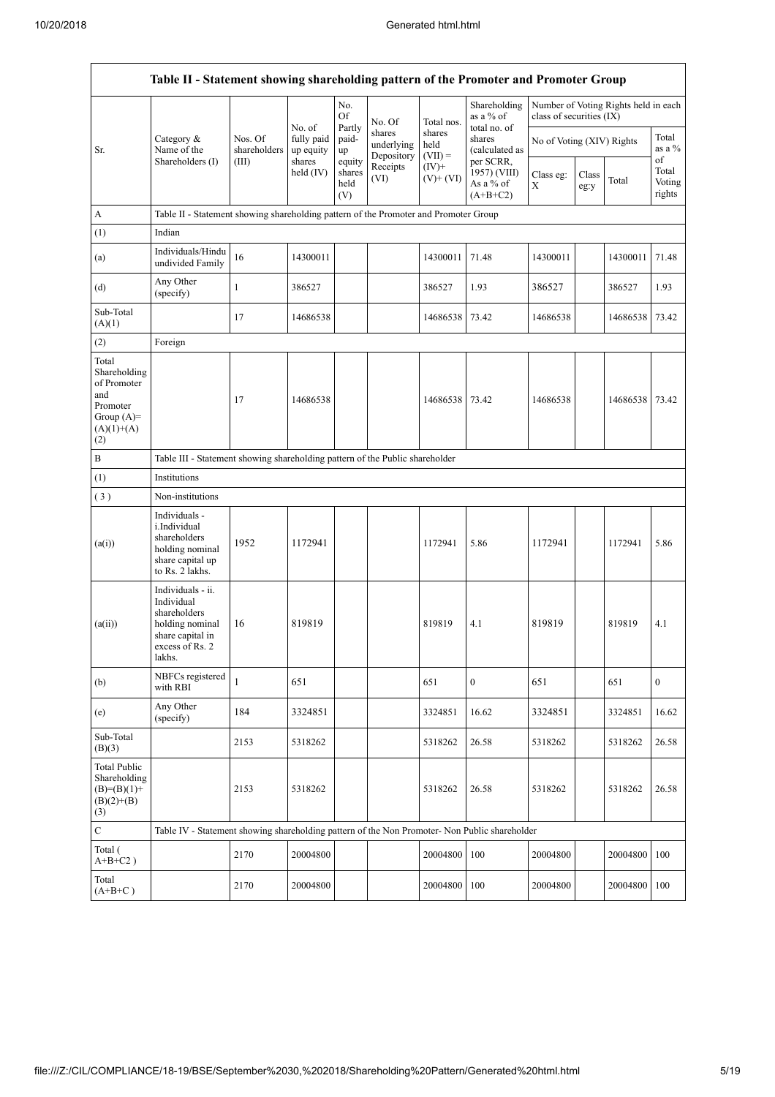$\overline{1}$ 

|                                                                                                | Table II - Statement showing shareholding pattern of the Promoter and Promoter Group                                |                         |                                   |                                 |                                    |                             |                                                      |                           |               |                                      |                           |  |  |
|------------------------------------------------------------------------------------------------|---------------------------------------------------------------------------------------------------------------------|-------------------------|-----------------------------------|---------------------------------|------------------------------------|-----------------------------|------------------------------------------------------|---------------------------|---------------|--------------------------------------|---------------------------|--|--|
|                                                                                                |                                                                                                                     |                         |                                   | No.<br><b>Of</b>                | No. Of                             | Total nos.                  | Shareholding<br>as a % of                            | class of securities (IX)  |               | Number of Voting Rights held in each |                           |  |  |
| Sr.                                                                                            | Category $\&$<br>Name of the                                                                                        | Nos. Of<br>shareholders | No. of<br>fully paid<br>up equity | Partly<br>paid-<br>up           | shares<br>underlying<br>Depository | shares<br>held<br>$(VII) =$ | total no. of<br>shares<br>(calculated as             | No of Voting (XIV) Rights |               |                                      | Total<br>as a $%$<br>of   |  |  |
|                                                                                                | Shareholders (I)                                                                                                    | (III)                   | shares<br>held $(IV)$             | equity<br>shares<br>held<br>(V) | Receipts<br>(VI)                   | $(IV)$ +<br>$(V)+(VI)$      | per SCRR,<br>1957) (VIII)<br>As a % of<br>$(A+B+C2)$ | Class eg:<br>X            | Class<br>eg:y | Total                                | Total<br>Voting<br>rights |  |  |
| A                                                                                              | Table II - Statement showing shareholding pattern of the Promoter and Promoter Group                                |                         |                                   |                                 |                                    |                             |                                                      |                           |               |                                      |                           |  |  |
| (1)                                                                                            | Indian                                                                                                              |                         |                                   |                                 |                                    |                             |                                                      |                           |               |                                      |                           |  |  |
| (a)                                                                                            | Individuals/Hindu<br>undivided Family                                                                               | 16                      | 14300011                          |                                 |                                    | 14300011                    | 71.48                                                | 14300011                  |               | 14300011                             | 71.48                     |  |  |
| (d)                                                                                            | Any Other<br>(specify)                                                                                              | $\mathbf{1}$            | 386527                            |                                 |                                    | 386527                      | 1.93                                                 | 386527                    |               | 386527                               | 1.93                      |  |  |
| Sub-Total<br>(A)(1)                                                                            |                                                                                                                     | 17                      | 14686538                          |                                 |                                    | 14686538                    | 73.42                                                | 14686538                  |               | 14686538                             | 73.42                     |  |  |
| (2)                                                                                            | Foreign                                                                                                             |                         |                                   |                                 |                                    |                             |                                                      |                           |               |                                      |                           |  |  |
| Total<br>Shareholding<br>of Promoter<br>and<br>Promoter<br>Group $(A)=$<br>$(A)(1)+(A)$<br>(2) |                                                                                                                     | 17                      | 14686538                          |                                 |                                    | 14686538                    | 73.42                                                | 14686538                  |               | 14686538                             | 73.42                     |  |  |
| $\, {\bf B}$                                                                                   | Table III - Statement showing shareholding pattern of the Public shareholder                                        |                         |                                   |                                 |                                    |                             |                                                      |                           |               |                                      |                           |  |  |
| (1)                                                                                            | Institutions                                                                                                        |                         |                                   |                                 |                                    |                             |                                                      |                           |               |                                      |                           |  |  |
| (3)                                                                                            | Non-institutions                                                                                                    |                         |                                   |                                 |                                    |                             |                                                      |                           |               |                                      |                           |  |  |
| (a(i))                                                                                         | Individuals -<br>i.Individual<br>shareholders<br>holding nominal<br>share capital up<br>to Rs. 2 lakhs.             | 1952                    | 1172941                           |                                 |                                    | 1172941                     | 5.86                                                 | 1172941                   |               | 1172941                              | 5.86                      |  |  |
| (a(ii))                                                                                        | Individuals - ii.<br>Individual<br>shareholders<br>holding nominal<br>share capital in<br>excess of Rs. 2<br>lakhs. | 16                      | 819819                            |                                 |                                    | 819819                      | 4.1                                                  | 819819                    |               | 819819                               | 4.1                       |  |  |
| (b)                                                                                            | NBFCs registered<br>with RBI                                                                                        | $\mathbf{1}$            | 651                               |                                 |                                    | 651                         | $\mathbf{0}$                                         | 651                       |               | 651                                  | $\mathbf{0}$              |  |  |
| (e)                                                                                            | Any Other<br>(specify)                                                                                              | 184                     | 3324851                           |                                 |                                    | 3324851                     | 16.62                                                | 3324851                   |               | 3324851                              | 16.62                     |  |  |
| Sub-Total<br>(B)(3)                                                                            |                                                                                                                     | 2153                    | 5318262                           |                                 |                                    | 5318262                     | 26.58                                                | 5318262                   |               | 5318262                              | 26.58                     |  |  |
| <b>Total Public</b><br>Shareholding<br>$(B)=(B)(1)+$<br>$(B)(2)+(B)$<br>(3)                    |                                                                                                                     | 2153                    | 5318262                           |                                 |                                    | 5318262                     | 26.58                                                | 5318262                   |               | 5318262                              | 26.58                     |  |  |
| $\mathbf C$                                                                                    | Table IV - Statement showing shareholding pattern of the Non Promoter- Non Public shareholder                       |                         |                                   |                                 |                                    |                             |                                                      |                           |               |                                      |                           |  |  |
| Total (<br>$A+B+C2$ )                                                                          |                                                                                                                     | 2170                    | 20004800                          |                                 |                                    | 20004800                    | 100                                                  | 20004800                  |               | 20004800                             | 100                       |  |  |
| Total<br>$(A+B+C)$                                                                             |                                                                                                                     | 2170                    | 20004800                          |                                 |                                    | 20004800                    | 100                                                  | 20004800                  |               | 20004800                             | 100                       |  |  |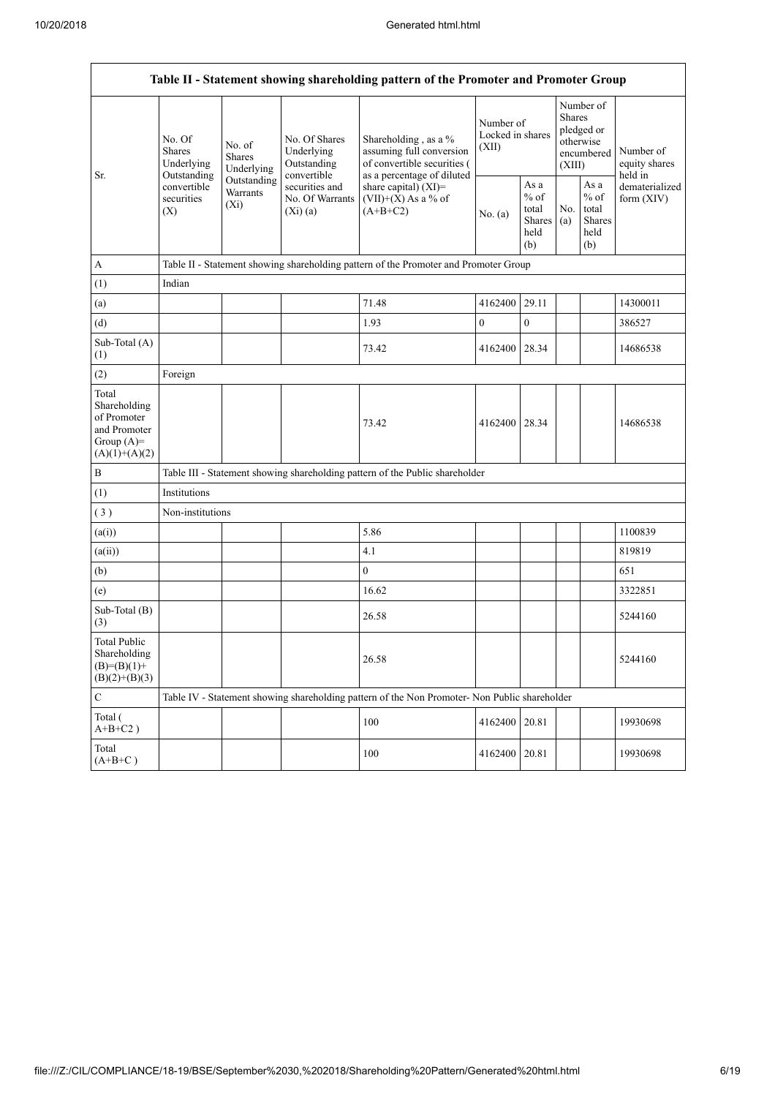| Table II - Statement showing shareholding pattern of the Promoter and Promoter Group    |                                                                                               |                                       |                                                           |                                                                                                               |                                        |                                                         |                                                                               |                                                         |                                       |  |  |
|-----------------------------------------------------------------------------------------|-----------------------------------------------------------------------------------------------|---------------------------------------|-----------------------------------------------------------|---------------------------------------------------------------------------------------------------------------|----------------------------------------|---------------------------------------------------------|-------------------------------------------------------------------------------|---------------------------------------------------------|---------------------------------------|--|--|
|                                                                                         | No. Of<br><b>Shares</b><br>Underlying<br>Outstanding                                          | No. of<br><b>Shares</b><br>Underlying | No. Of Shares<br>Underlying<br>Outstanding<br>convertible | Shareholding, as a %<br>assuming full conversion<br>of convertible securities (<br>as a percentage of diluted | Number of<br>Locked in shares<br>(XII) |                                                         | Number of<br><b>Shares</b><br>pledged or<br>otherwise<br>encumbered<br>(XIII) |                                                         | Number of<br>equity shares<br>held in |  |  |
| Sr.                                                                                     | convertible<br>securities<br>(X)                                                              | Outstanding<br>Warrants<br>$(X_i)$    | securities and<br>No. Of Warrants<br>$(Xi)$ (a)           | share capital) $(XI)$ =<br>$(VII)+(X)$ As a % of<br>$(A+B+C2)$                                                | No. (a)                                | As a<br>$%$ of<br>total<br><b>Shares</b><br>held<br>(b) | No.<br>(a)                                                                    | As a<br>$%$ of<br>total<br><b>Shares</b><br>held<br>(b) | dematerialized<br>form $(XIV)$        |  |  |
| $\mathbf{A}$                                                                            |                                                                                               |                                       |                                                           | Table II - Statement showing shareholding pattern of the Promoter and Promoter Group                          |                                        |                                                         |                                                                               |                                                         |                                       |  |  |
| (1)                                                                                     | Indian                                                                                        |                                       |                                                           |                                                                                                               |                                        |                                                         |                                                                               |                                                         |                                       |  |  |
| (a)                                                                                     |                                                                                               |                                       |                                                           | 71.48                                                                                                         | 4162400                                | 29.11                                                   |                                                                               |                                                         | 14300011                              |  |  |
| (d)                                                                                     |                                                                                               |                                       |                                                           | 1.93                                                                                                          | $\boldsymbol{0}$                       | $\boldsymbol{0}$                                        |                                                                               |                                                         | 386527                                |  |  |
| Sub-Total (A)<br>(1)                                                                    |                                                                                               |                                       |                                                           | 73.42                                                                                                         | 4162400                                | 28.34                                                   |                                                                               |                                                         | 14686538                              |  |  |
| (2)                                                                                     | Foreign                                                                                       |                                       |                                                           |                                                                                                               |                                        |                                                         |                                                                               |                                                         |                                       |  |  |
| Total<br>Shareholding<br>of Promoter<br>and Promoter<br>Group $(A)=$<br>$(A)(1)+(A)(2)$ |                                                                                               |                                       |                                                           | 73.42                                                                                                         | 4162400                                | 28.34                                                   |                                                                               |                                                         | 14686538                              |  |  |
| $\, {\bf B}$                                                                            |                                                                                               |                                       |                                                           | Table III - Statement showing shareholding pattern of the Public shareholder                                  |                                        |                                                         |                                                                               |                                                         |                                       |  |  |
| (1)                                                                                     | Institutions                                                                                  |                                       |                                                           |                                                                                                               |                                        |                                                         |                                                                               |                                                         |                                       |  |  |
| (3)                                                                                     | Non-institutions                                                                              |                                       |                                                           |                                                                                                               |                                        |                                                         |                                                                               |                                                         |                                       |  |  |
| (a(i))                                                                                  |                                                                                               |                                       |                                                           | 5.86                                                                                                          |                                        |                                                         |                                                                               |                                                         | 1100839                               |  |  |
| (a(ii))                                                                                 |                                                                                               |                                       |                                                           | 4.1                                                                                                           |                                        |                                                         |                                                                               |                                                         | 819819                                |  |  |
| (b)                                                                                     |                                                                                               |                                       |                                                           | $\overline{0}$                                                                                                |                                        |                                                         |                                                                               |                                                         | 651                                   |  |  |
| (e)                                                                                     |                                                                                               |                                       |                                                           | 16.62                                                                                                         |                                        |                                                         |                                                                               |                                                         | 3322851                               |  |  |
| Sub-Total (B)<br>(3)                                                                    |                                                                                               |                                       |                                                           | 26.58                                                                                                         |                                        |                                                         |                                                                               |                                                         | 5244160                               |  |  |
| <b>Total Public</b><br>Shareholding<br>$(B)=(B)(1)+$<br>$(B)(2)+(B)(3)$                 |                                                                                               |                                       |                                                           | 26.58                                                                                                         |                                        |                                                         |                                                                               |                                                         | 5244160                               |  |  |
| $\mathbf C$                                                                             | Table IV - Statement showing shareholding pattern of the Non Promoter- Non Public shareholder |                                       |                                                           |                                                                                                               |                                        |                                                         |                                                                               |                                                         |                                       |  |  |
| Total (<br>$A+B+C2$ )                                                                   |                                                                                               |                                       |                                                           | 100                                                                                                           | 4162400                                | 20.81                                                   |                                                                               |                                                         | 19930698                              |  |  |
| Total<br>$(A+B+C)$                                                                      |                                                                                               |                                       |                                                           | 100                                                                                                           | 4162400                                | 20.81                                                   |                                                                               |                                                         | 19930698                              |  |  |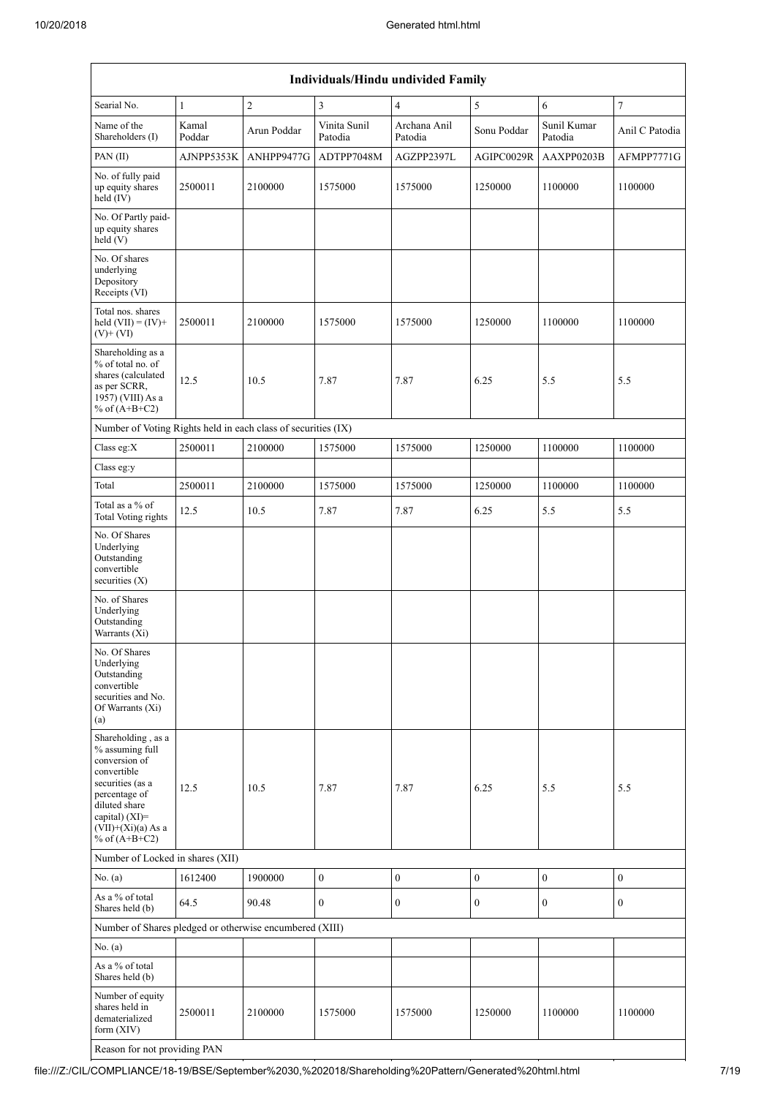|                                                                                                                                                                                             | Individuals/Hindu undivided Family |                |                         |                         |                  |                        |                  |  |  |  |  |
|---------------------------------------------------------------------------------------------------------------------------------------------------------------------------------------------|------------------------------------|----------------|-------------------------|-------------------------|------------------|------------------------|------------------|--|--|--|--|
| Searial No.                                                                                                                                                                                 | $\mathbf{1}$                       | $\overline{2}$ | 3                       | $\overline{4}$          | 5                | 6                      | $\tau$           |  |  |  |  |
| Name of the<br>Shareholders (I)                                                                                                                                                             | Kamal<br>Poddar                    | Arun Poddar    | Vinita Sunil<br>Patodia | Archana Anil<br>Patodia | Sonu Poddar      | Sunil Kumar<br>Patodia | Anil C Patodia   |  |  |  |  |
| PAN $(II)$                                                                                                                                                                                  | AJNPP5353K                         | ANHPP9477G     | ADTPP7048M              | AGZPP2397L              | AGIPC0029R       | AAXPP0203B             | AFMPP7771G       |  |  |  |  |
| No. of fully paid<br>up equity shares<br>held (IV)                                                                                                                                          | 2500011                            | 2100000        | 1575000                 | 1575000                 | 1250000          | 1100000                | 1100000          |  |  |  |  |
| No. Of Partly paid-<br>up equity shares<br>held $(V)$                                                                                                                                       |                                    |                |                         |                         |                  |                        |                  |  |  |  |  |
| No. Of shares<br>underlying<br>Depository<br>Receipts (VI)                                                                                                                                  |                                    |                |                         |                         |                  |                        |                  |  |  |  |  |
| Total nos. shares<br>held $(VII) = (IV) +$<br>$(V)+(VI)$                                                                                                                                    | 2500011                            | 2100000        | 1575000                 | 1575000                 | 1250000          | 1100000                | 1100000          |  |  |  |  |
| Shareholding as a<br>% of total no. of<br>shares (calculated<br>as per SCRR,<br>1957) (VIII) As a<br>% of $(A+B+C2)$                                                                        | 12.5                               | 10.5           | 7.87                    | 7.87                    | 6.25             | 5.5                    | 5.5              |  |  |  |  |
| Number of Voting Rights held in each class of securities (IX)                                                                                                                               |                                    |                |                         |                         |                  |                        |                  |  |  |  |  |
| Class eg:X                                                                                                                                                                                  | 2500011                            | 2100000        | 1575000                 | 1575000                 | 1250000          | 1100000                | 1100000          |  |  |  |  |
| Class eg:y                                                                                                                                                                                  |                                    |                |                         |                         |                  |                        |                  |  |  |  |  |
| Total                                                                                                                                                                                       | 2500011                            | 2100000        | 1575000                 | 1575000                 | 1250000          | 1100000                | 1100000          |  |  |  |  |
| Total as a % of<br><b>Total Voting rights</b>                                                                                                                                               | 12.5                               | 10.5           | 7.87                    | 7.87                    | 6.25             | 5.5                    | 5.5              |  |  |  |  |
| No. Of Shares<br>Underlying<br>Outstanding<br>convertible<br>securities $(X)$                                                                                                               |                                    |                |                         |                         |                  |                        |                  |  |  |  |  |
| No. of Shares<br>Underlying<br>Outstanding<br>Warrants (Xi)                                                                                                                                 |                                    |                |                         |                         |                  |                        |                  |  |  |  |  |
| No. Of Shares<br>Underlying<br>Outstanding<br>convertible<br>securities and No.<br>Of Warrants (Xi)<br>(a)                                                                                  |                                    |                |                         |                         |                  |                        |                  |  |  |  |  |
| Shareholding, as a<br>% assuming full<br>conversion of<br>convertible<br>securities (as a<br>percentage of<br>diluted share<br>capital) $(XI)$ =<br>$(VII)+(Xi)(a)$ As a<br>% of $(A+B+C2)$ | 12.5                               | 10.5           | 7.87                    | 7.87                    | 6.25             | 5.5                    | 5.5              |  |  |  |  |
| Number of Locked in shares (XII)                                                                                                                                                            |                                    |                |                         |                         |                  |                        |                  |  |  |  |  |
| No. (a)                                                                                                                                                                                     | 1612400                            | 1900000        | $\boldsymbol{0}$        | $\boldsymbol{0}$        | $\boldsymbol{0}$ | $\boldsymbol{0}$       | $\boldsymbol{0}$ |  |  |  |  |
| As a % of total<br>Shares held (b)                                                                                                                                                          | 64.5                               | 90.48          | $\mathbf{0}$            | $\mathbf{0}$            | $\mathbf{0}$     | $\mathbf{0}$           | $\overline{0}$   |  |  |  |  |
| Number of Shares pledged or otherwise encumbered (XIII)                                                                                                                                     |                                    |                |                         |                         |                  |                        |                  |  |  |  |  |
| No. $(a)$                                                                                                                                                                                   |                                    |                |                         |                         |                  |                        |                  |  |  |  |  |
| As a % of total<br>Shares held (b)                                                                                                                                                          |                                    |                |                         |                         |                  |                        |                  |  |  |  |  |
| Number of equity<br>shares held in<br>dematerialized<br>form $(XIV)$                                                                                                                        | 2500011                            | 2100000        | 1575000                 | 1575000                 | 1250000          | 1100000                | 1100000          |  |  |  |  |
| Reason for not providing PAN                                                                                                                                                                |                                    |                |                         |                         |                  |                        |                  |  |  |  |  |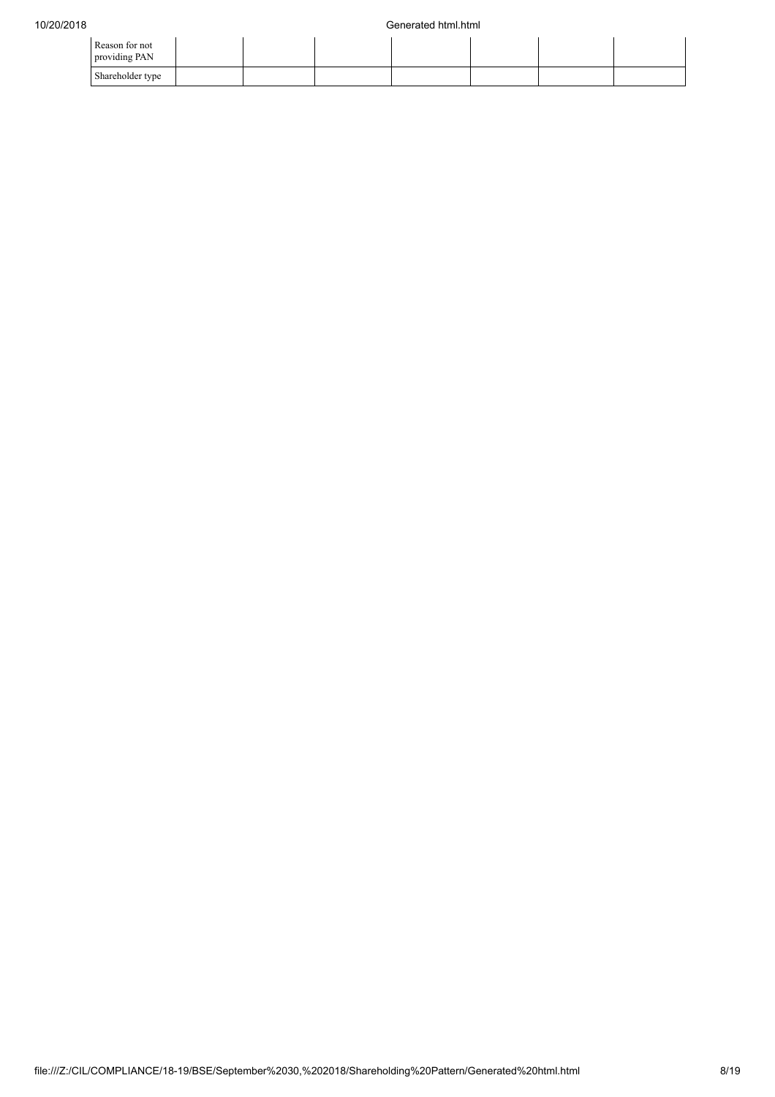| Reason for not<br>providing PAN |  |  |  |  |
|---------------------------------|--|--|--|--|
| Shareholder type                |  |  |  |  |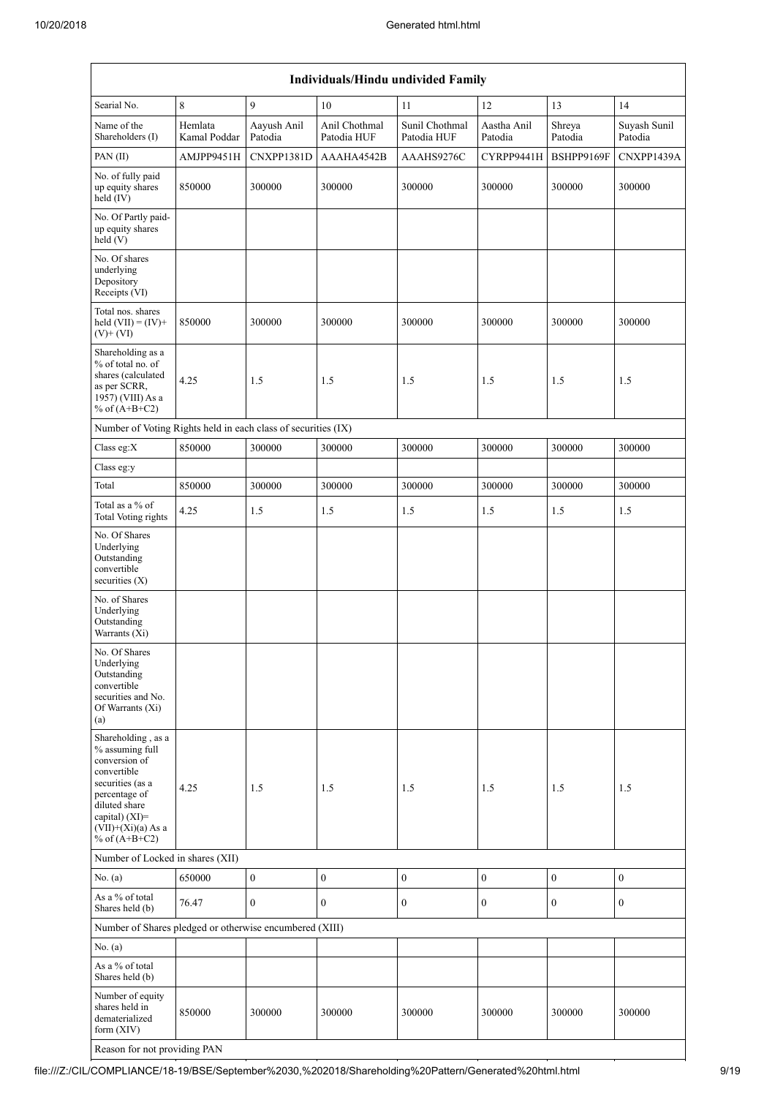| Individuals/Hindu undivided Family                                                                                                                                                          |                         |                        |                              |                               |                        |                   |                         |  |  |  |  |
|---------------------------------------------------------------------------------------------------------------------------------------------------------------------------------------------|-------------------------|------------------------|------------------------------|-------------------------------|------------------------|-------------------|-------------------------|--|--|--|--|
| Searial No.                                                                                                                                                                                 | 8                       | 9                      | 10                           | 11                            | 12                     | 13                | 14                      |  |  |  |  |
| Name of the<br>Shareholders (I)                                                                                                                                                             | Hemlata<br>Kamal Poddar | Aayush Anil<br>Patodia | Anil Chothmal<br>Patodia HUF | Sunil Chothmal<br>Patodia HUF | Aastha Anil<br>Patodia | Shreya<br>Patodia | Suyash Sunil<br>Patodia |  |  |  |  |
| PAN(II)                                                                                                                                                                                     | AMJPP9451H              | CNXPP1381D             | AAAHA4542B                   | AAAHS9276C                    | CYRPP9441H             | BSHPP9169F        | CNXPP1439A              |  |  |  |  |
| No. of fully paid<br>up equity shares<br>held (IV)                                                                                                                                          | 850000                  | 300000                 | 300000                       | 300000                        | 300000                 | 300000            | 300000                  |  |  |  |  |
| No. Of Partly paid-<br>up equity shares<br>held (V)                                                                                                                                         |                         |                        |                              |                               |                        |                   |                         |  |  |  |  |
| No. Of shares<br>underlying<br>Depository<br>Receipts (VI)                                                                                                                                  |                         |                        |                              |                               |                        |                   |                         |  |  |  |  |
| Total nos. shares<br>held $(VII) = (IV) +$<br>$(V)$ + $(VI)$                                                                                                                                | 850000                  | 300000                 | 300000                       | 300000                        | 300000                 | 300000            | 300000                  |  |  |  |  |
| Shareholding as a<br>% of total no. of<br>shares (calculated<br>as per SCRR,<br>1957) (VIII) As a<br>% of $(A+B+C2)$                                                                        | 4.25                    | 1.5                    | 1.5                          | 1.5                           | 1.5                    | 1.5               | 1.5                     |  |  |  |  |
| Number of Voting Rights held in each class of securities (IX)                                                                                                                               |                         |                        |                              |                               |                        |                   |                         |  |  |  |  |
| Class eg:X                                                                                                                                                                                  | 850000                  | 300000                 | 300000                       | 300000                        | 300000                 | 300000            | 300000                  |  |  |  |  |
| Class eg:y                                                                                                                                                                                  |                         |                        |                              |                               |                        |                   |                         |  |  |  |  |
| Total                                                                                                                                                                                       | 850000                  | 300000                 | 300000                       | 300000                        | 300000                 | 300000            | 300000                  |  |  |  |  |
| Total as a % of<br><b>Total Voting rights</b>                                                                                                                                               | 4.25                    | 1.5                    | 1.5                          | 1.5                           | 1.5                    | 1.5               | 1.5                     |  |  |  |  |
| No. Of Shares<br>Underlying<br>Outstanding<br>convertible<br>securities $(X)$                                                                                                               |                         |                        |                              |                               |                        |                   |                         |  |  |  |  |
| No. of Shares<br>Underlying<br>Outstanding<br>Warrants (Xi)                                                                                                                                 |                         |                        |                              |                               |                        |                   |                         |  |  |  |  |
| No. Of Shares<br>Underlying<br>Outstanding<br>convertible<br>securities and No.<br>Of Warrants (Xi)<br>(a)                                                                                  |                         |                        |                              |                               |                        |                   |                         |  |  |  |  |
| Shareholding, as a<br>% assuming full<br>conversion of<br>convertible<br>securities (as a<br>percentage of<br>diluted share<br>capital) $(XI)$ =<br>$(VII)+(Xi)(a)$ As a<br>% of $(A+B+C2)$ | 4.25                    | 1.5                    | 1.5                          | 1.5                           | 1.5                    | 1.5               | 1.5                     |  |  |  |  |
| Number of Locked in shares (XII)                                                                                                                                                            |                         |                        |                              |                               |                        |                   |                         |  |  |  |  |
| No. (a)                                                                                                                                                                                     | 650000                  | $\boldsymbol{0}$       | $\boldsymbol{0}$             | $\boldsymbol{0}$              | $\boldsymbol{0}$       | $\boldsymbol{0}$  | $\boldsymbol{0}$        |  |  |  |  |
| As a % of total<br>Shares held (b)                                                                                                                                                          | 76.47                   | $\overline{0}$         | $\overline{0}$               | $\mathbf{0}$                  | $\mathbf{0}$           | $\overline{0}$    | $\mathbf{0}$            |  |  |  |  |
| Number of Shares pledged or otherwise encumbered (XIII)                                                                                                                                     |                         |                        |                              |                               |                        |                   |                         |  |  |  |  |
| No. $(a)$                                                                                                                                                                                   |                         |                        |                              |                               |                        |                   |                         |  |  |  |  |
| As a % of total<br>Shares held (b)                                                                                                                                                          |                         |                        |                              |                               |                        |                   |                         |  |  |  |  |
| Number of equity<br>shares held in<br>dematerialized<br>form $(XIV)$                                                                                                                        | 850000                  | 300000                 | 300000                       | 300000                        | 300000                 | 300000            | 300000                  |  |  |  |  |

Reason for not providing PAN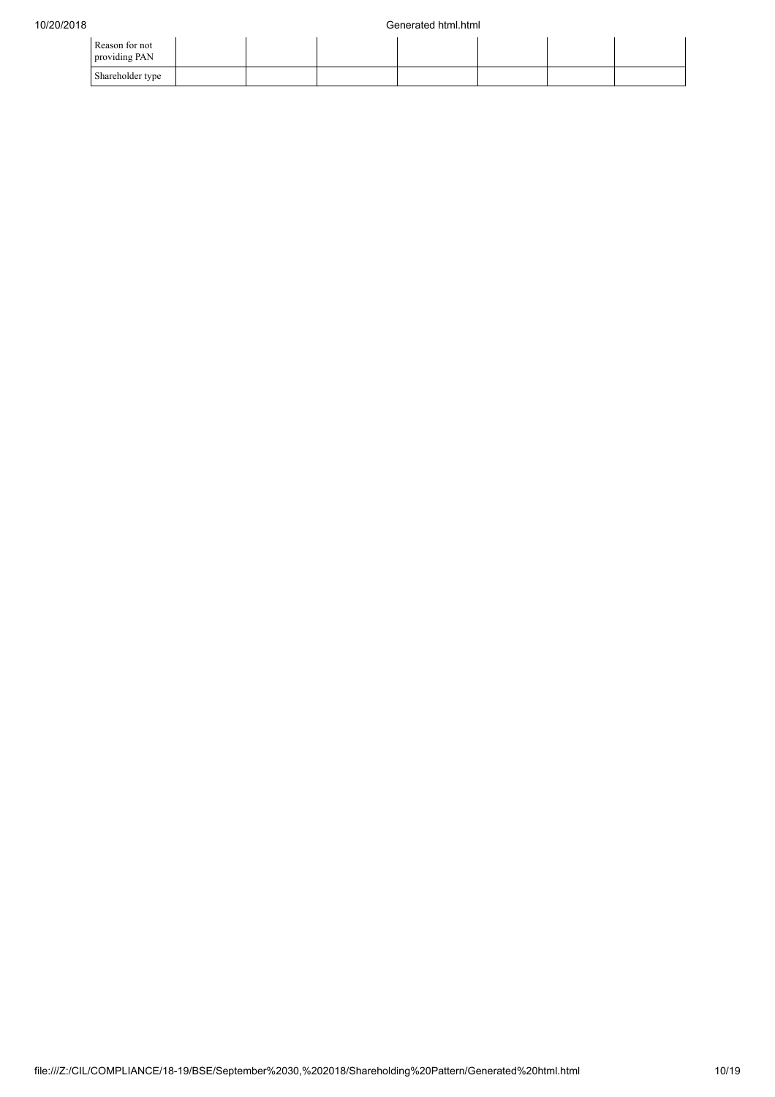| Reason for not<br>providing PAN |  |  |  |  |
|---------------------------------|--|--|--|--|
| Shareholder type                |  |  |  |  |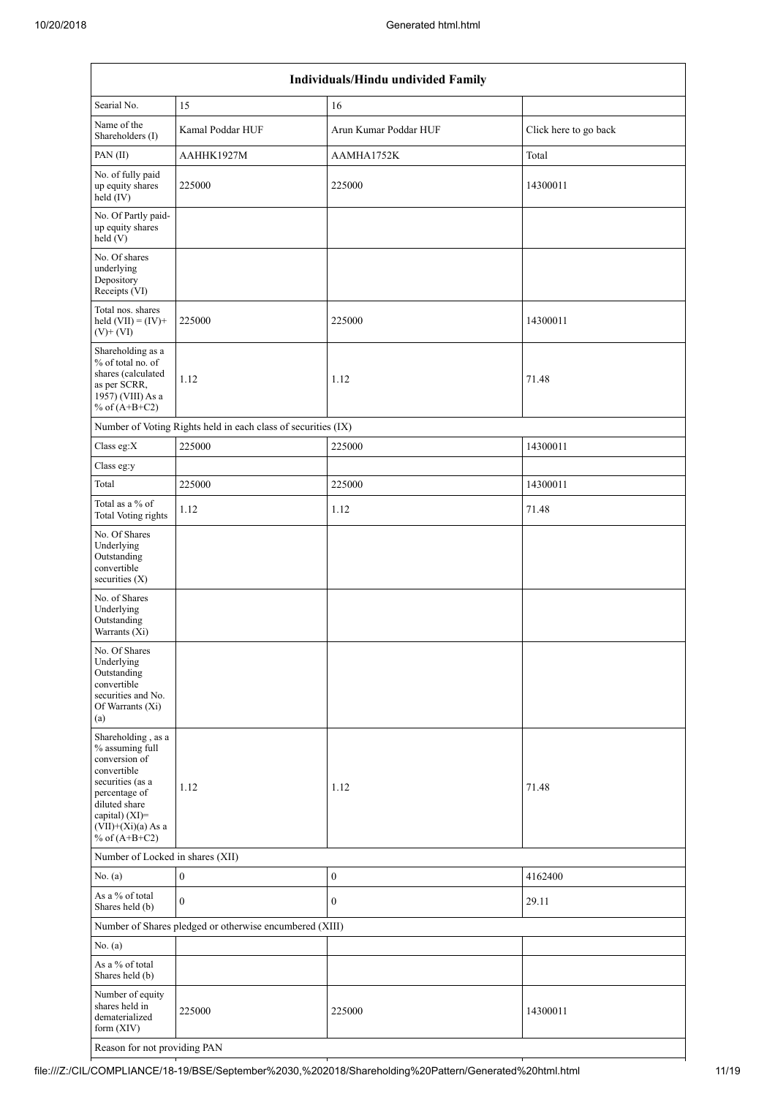| Individuals/Hindu undivided Family                                                                                                                                                       |                                                               |                       |                       |  |  |  |  |  |  |  |
|------------------------------------------------------------------------------------------------------------------------------------------------------------------------------------------|---------------------------------------------------------------|-----------------------|-----------------------|--|--|--|--|--|--|--|
| Searial No.                                                                                                                                                                              | 15                                                            | 16                    |                       |  |  |  |  |  |  |  |
| Name of the<br>Shareholders (I)                                                                                                                                                          | Kamal Poddar HUF                                              | Arun Kumar Poddar HUF | Click here to go back |  |  |  |  |  |  |  |
| PAN(II)                                                                                                                                                                                  | AAHHK1927M                                                    | AAMHA1752K            | Total                 |  |  |  |  |  |  |  |
| No. of fully paid<br>up equity shares<br>$\text{held} (IV)$                                                                                                                              | 225000                                                        | 225000                | 14300011              |  |  |  |  |  |  |  |
| No. Of Partly paid-<br>up equity shares<br>held (V)                                                                                                                                      |                                                               |                       |                       |  |  |  |  |  |  |  |
| No. Of shares<br>underlying<br>Depository<br>Receipts (VI)                                                                                                                               |                                                               |                       |                       |  |  |  |  |  |  |  |
| Total nos. shares<br>held $(VII) = (IV) +$<br>$(V)+(VI)$                                                                                                                                 | 225000                                                        | 225000                | 14300011              |  |  |  |  |  |  |  |
| Shareholding as a<br>% of total no. of<br>shares (calculated<br>as per SCRR,<br>1957) (VIII) As a<br>% of $(A+B+C2)$                                                                     | 1.12                                                          | 1.12                  | 71.48                 |  |  |  |  |  |  |  |
|                                                                                                                                                                                          | Number of Voting Rights held in each class of securities (IX) |                       |                       |  |  |  |  |  |  |  |
| Class eg:X                                                                                                                                                                               | 225000                                                        | 225000                | 14300011              |  |  |  |  |  |  |  |
| Class eg:y                                                                                                                                                                               |                                                               |                       |                       |  |  |  |  |  |  |  |
| Total                                                                                                                                                                                    | 225000                                                        | 225000                | 14300011              |  |  |  |  |  |  |  |
| Total as a % of<br><b>Total Voting rights</b>                                                                                                                                            | 1.12                                                          | 1.12                  | 71.48                 |  |  |  |  |  |  |  |
| No. Of Shares<br>Underlying<br>Outstanding<br>convertible<br>securities (X)                                                                                                              |                                                               |                       |                       |  |  |  |  |  |  |  |
| No. of Shares<br>Underlying<br>Outstanding<br>Warrants (Xi)                                                                                                                              |                                                               |                       |                       |  |  |  |  |  |  |  |
| No. Of Shares<br>Underlying<br>Outstanding<br>convertible<br>securities and No.<br>Of Warrants (Xi)<br>(a)                                                                               |                                                               |                       |                       |  |  |  |  |  |  |  |
| Shareholding, as a<br>% assuming full<br>conversion of<br>convertible<br>securities (as a<br>percentage of<br>diluted share<br>capital) (XI)=<br>$(VII)+(Xi)(a)$ As a<br>% of $(A+B+C2)$ | 1.12                                                          | 1.12                  | 71.48                 |  |  |  |  |  |  |  |
| Number of Locked in shares (XII)                                                                                                                                                         |                                                               |                       |                       |  |  |  |  |  |  |  |
| No. $(a)$                                                                                                                                                                                | $\boldsymbol{0}$                                              | $\boldsymbol{0}$      | 4162400               |  |  |  |  |  |  |  |
| As a % of total<br>Shares held (b)                                                                                                                                                       | $\mathbf{0}$                                                  | $\boldsymbol{0}$      | 29.11                 |  |  |  |  |  |  |  |
|                                                                                                                                                                                          | Number of Shares pledged or otherwise encumbered (XIII)       |                       |                       |  |  |  |  |  |  |  |
| No. (a)                                                                                                                                                                                  |                                                               |                       |                       |  |  |  |  |  |  |  |
| As a % of total<br>Shares held (b)                                                                                                                                                       |                                                               |                       |                       |  |  |  |  |  |  |  |
| Number of equity<br>shares held in<br>dematerialized<br>form (XIV)                                                                                                                       | 225000                                                        | 225000                | 14300011              |  |  |  |  |  |  |  |
| Reason for not providing PAN                                                                                                                                                             |                                                               |                       |                       |  |  |  |  |  |  |  |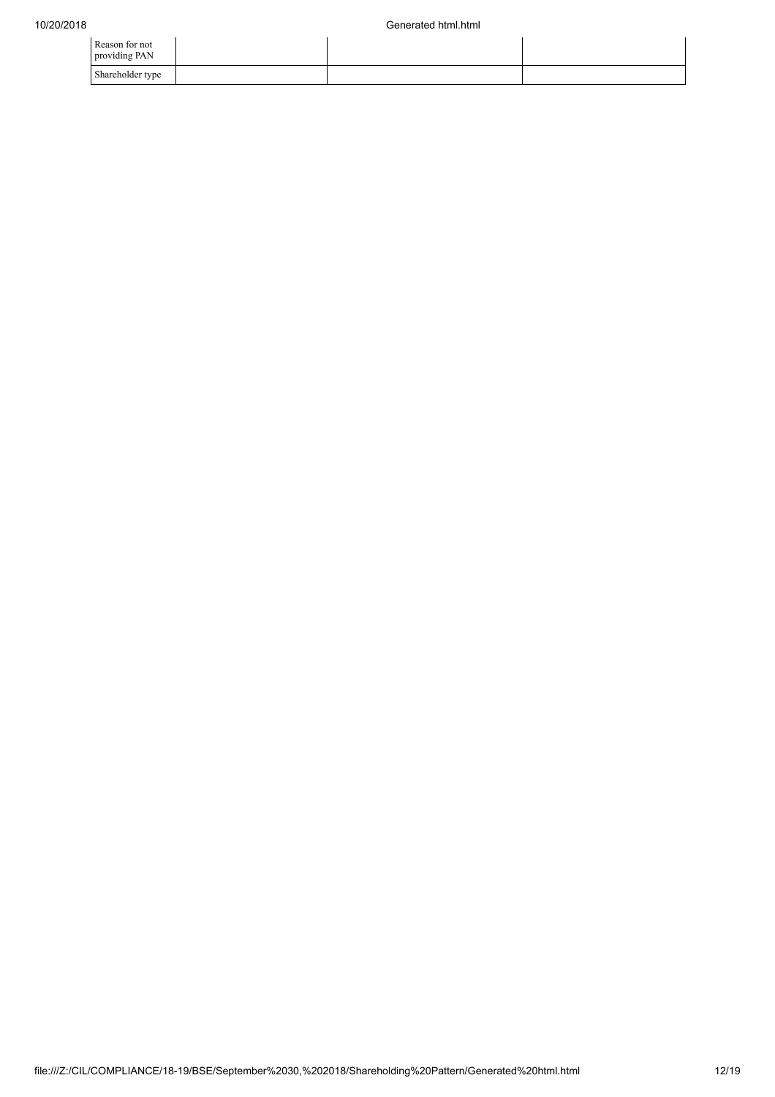| Reason for not<br>providing PAN |  |  |
|---------------------------------|--|--|
| Shareholder type                |  |  |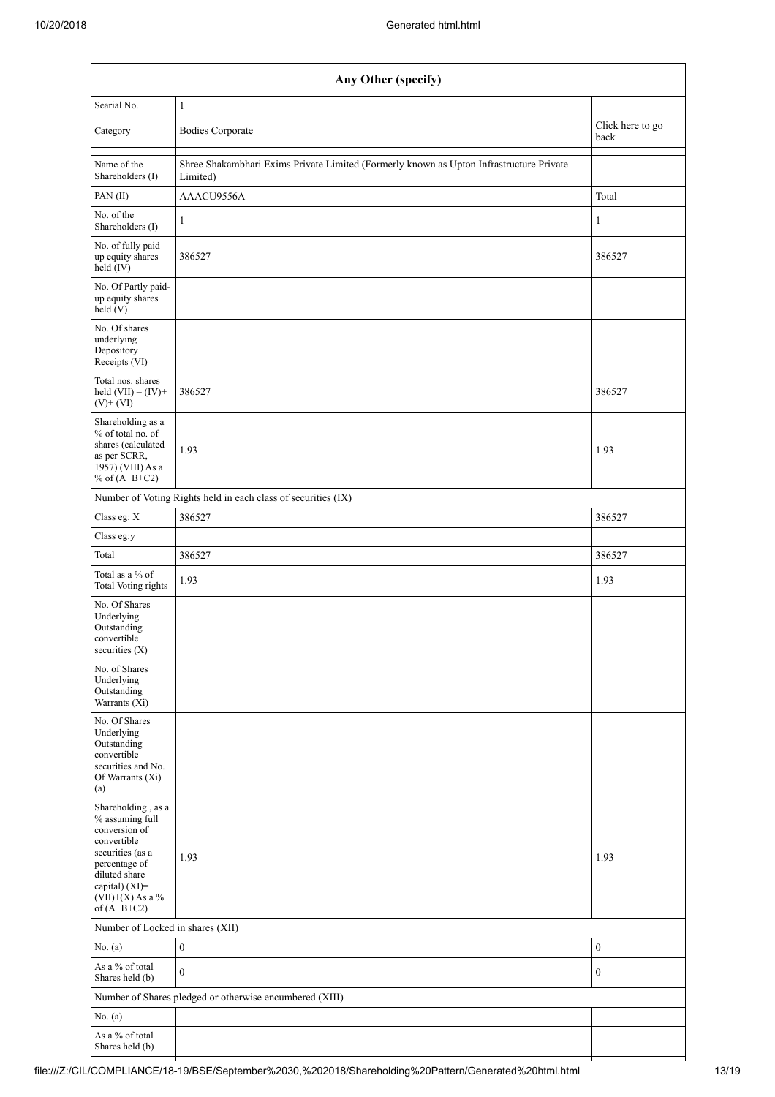| Any Other (specify)                                                                                                                                                                  |                                                                                                     |                  |  |  |  |
|--------------------------------------------------------------------------------------------------------------------------------------------------------------------------------------|-----------------------------------------------------------------------------------------------------|------------------|--|--|--|
| Searial No.                                                                                                                                                                          | 1                                                                                                   |                  |  |  |  |
| Category                                                                                                                                                                             | Click here to go<br><b>Bodies Corporate</b><br>back                                                 |                  |  |  |  |
| Name of the<br>Shareholders (I)                                                                                                                                                      | Shree Shakambhari Exims Private Limited (Formerly known as Upton Infrastructure Private<br>Limited) |                  |  |  |  |
| PAN(II)                                                                                                                                                                              | AAACU9556A<br>Total                                                                                 |                  |  |  |  |
| No. of the<br>Shareholders (I)                                                                                                                                                       | 1                                                                                                   | 1                |  |  |  |
| No. of fully paid<br>up equity shares<br>held (IV)                                                                                                                                   | 386527<br>386527                                                                                    |                  |  |  |  |
| No. Of Partly paid-<br>up equity shares<br>held (V)                                                                                                                                  |                                                                                                     |                  |  |  |  |
| No. Of shares<br>underlying<br>Depository<br>Receipts (VI)                                                                                                                           |                                                                                                     |                  |  |  |  |
| Total nos. shares<br>held $(VII) = (IV) +$<br>$(V)$ + $(VI)$                                                                                                                         | 386527                                                                                              | 386527           |  |  |  |
| Shareholding as a<br>% of total no. of<br>shares (calculated<br>as per SCRR,<br>1957) (VIII) As a<br>% of $(A+B+C2)$                                                                 | 1.93                                                                                                | 1.93             |  |  |  |
|                                                                                                                                                                                      | Number of Voting Rights held in each class of securities (IX)                                       |                  |  |  |  |
| Class eg: X                                                                                                                                                                          | 386527                                                                                              | 386527           |  |  |  |
| Class eg:y                                                                                                                                                                           |                                                                                                     |                  |  |  |  |
| Total                                                                                                                                                                                | 386527                                                                                              | 386527           |  |  |  |
| Total as a % of<br><b>Total Voting rights</b>                                                                                                                                        | 1.93                                                                                                | 1.93             |  |  |  |
| No. Of Shares<br>Underlying<br>Outstanding<br>convertible<br>securities (X)                                                                                                          |                                                                                                     |                  |  |  |  |
| No. of Shares<br>Underlying<br>Outstanding<br>Warrants (Xi)                                                                                                                          |                                                                                                     |                  |  |  |  |
| No. Of Shares<br>Underlying<br>Outstanding<br>convertible<br>securities and No.<br>Of Warrants (Xi)<br>(a)                                                                           |                                                                                                     |                  |  |  |  |
| Shareholding, as a<br>% assuming full<br>conversion of<br>convertible<br>securities (as a<br>percentage of<br>diluted share<br>capital) (XI)=<br>$(VII)+(X)$ As a %<br>of $(A+B+C2)$ | 1.93                                                                                                | 1.93             |  |  |  |
| Number of Locked in shares (XII)                                                                                                                                                     |                                                                                                     |                  |  |  |  |
| No. $(a)$                                                                                                                                                                            | $\boldsymbol{0}$                                                                                    | $\mathbf{0}$     |  |  |  |
| As a % of total<br>Shares held (b)                                                                                                                                                   | $\mathbf{0}$                                                                                        | $\boldsymbol{0}$ |  |  |  |
| Number of Shares pledged or otherwise encumbered (XIII)                                                                                                                              |                                                                                                     |                  |  |  |  |
| No. (a)                                                                                                                                                                              |                                                                                                     |                  |  |  |  |
| As a % of total<br>Shares held (b)                                                                                                                                                   |                                                                                                     |                  |  |  |  |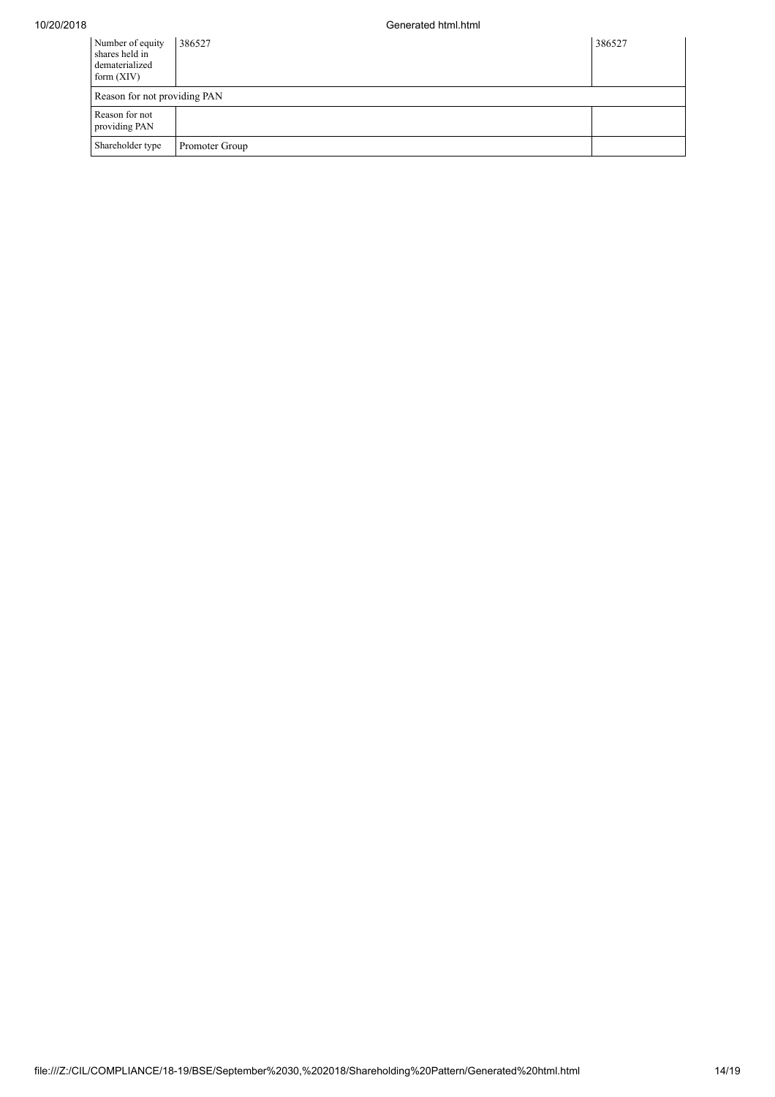| Number of equity<br>shares held in<br>dematerialized<br>form $(XIV)$ | 386527         | 386527 |
|----------------------------------------------------------------------|----------------|--------|
| Reason for not providing PAN                                         |                |        |
| Reason for not<br>providing PAN                                      |                |        |
| Shareholder type                                                     | Promoter Group |        |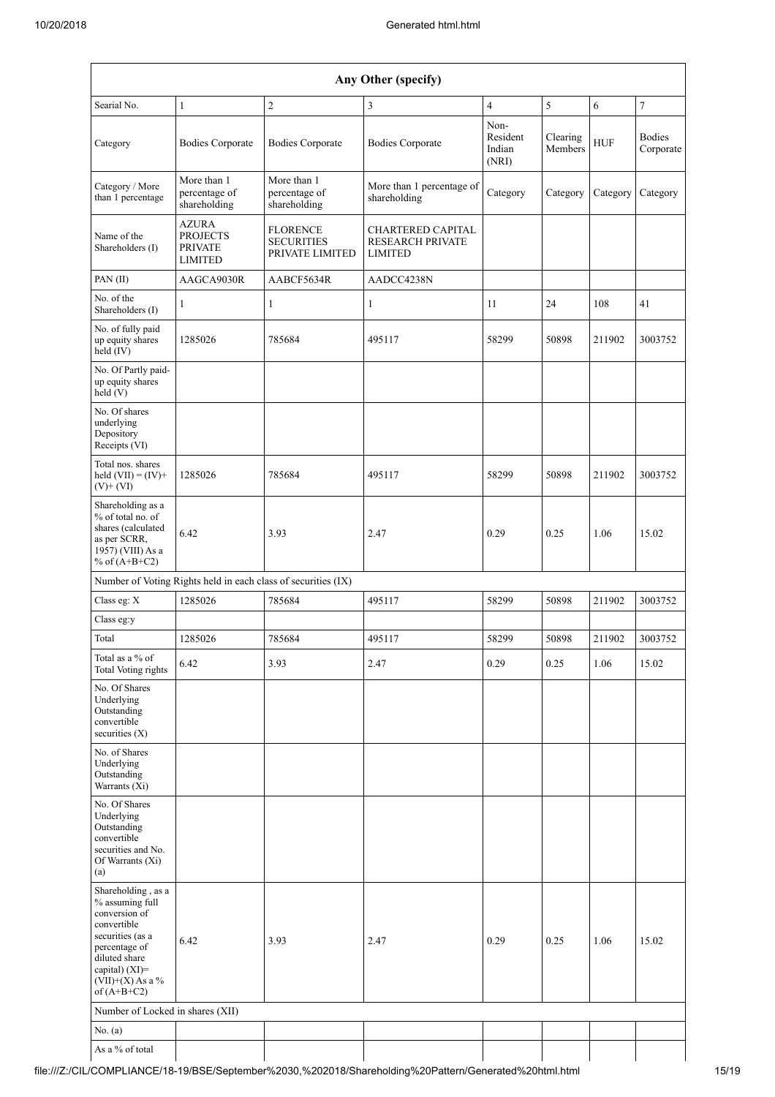| Any Other (specify)                                                                                                                                                                  |                                                                     |                                                               |                                                                       |                                     |                     |            |                            |
|--------------------------------------------------------------------------------------------------------------------------------------------------------------------------------------|---------------------------------------------------------------------|---------------------------------------------------------------|-----------------------------------------------------------------------|-------------------------------------|---------------------|------------|----------------------------|
| Searial No.                                                                                                                                                                          | $\mathbf{1}$                                                        | $\sqrt{2}$                                                    | 3                                                                     | $\overline{4}$                      | 5                   | 6          | $\boldsymbol{7}$           |
| Category                                                                                                                                                                             | <b>Bodies Corporate</b>                                             | <b>Bodies Corporate</b>                                       | <b>Bodies Corporate</b>                                               | Non-<br>Resident<br>Indian<br>(NRI) | Clearing<br>Members | <b>HUF</b> | <b>Bodies</b><br>Corporate |
| Category / More<br>than 1 percentage                                                                                                                                                 | More than 1<br>percentage of<br>shareholding                        | More than 1<br>percentage of<br>shareholding                  | More than 1 percentage of<br>shareholding                             | Category                            | Category            | Category   | Category                   |
| Name of the<br>Shareholders (I)                                                                                                                                                      | <b>AZURA</b><br><b>PROJECTS</b><br><b>PRIVATE</b><br><b>LIMITED</b> | <b>FLORENCE</b><br><b>SECURITIES</b><br>PRIVATE LIMITED       | <b>CHARTERED CAPITAL</b><br><b>RESEARCH PRIVATE</b><br><b>LIMITED</b> |                                     |                     |            |                            |
| PAN $(II)$                                                                                                                                                                           | AAGCA9030R                                                          | AABCF5634R                                                    | AADCC4238N                                                            |                                     |                     |            |                            |
| No. of the<br>Shareholders (I)                                                                                                                                                       | 1                                                                   | $\mathbf{1}$                                                  | 1                                                                     | 11                                  | 24                  | 108        | 41                         |
| No. of fully paid<br>up equity shares<br>held $(IV)$                                                                                                                                 | 1285026                                                             | 785684                                                        | 495117                                                                | 58299                               | 50898               | 211902     | 3003752                    |
| No. Of Partly paid-<br>up equity shares<br>held (V)                                                                                                                                  |                                                                     |                                                               |                                                                       |                                     |                     |            |                            |
| No. Of shares<br>underlying<br>Depository<br>Receipts (VI)                                                                                                                           |                                                                     |                                                               |                                                                       |                                     |                     |            |                            |
| Total nos. shares<br>held $(VII) = (IV) +$<br>$(V)+(VI)$                                                                                                                             | 1285026                                                             | 785684                                                        | 495117                                                                | 58299                               | 50898               | 211902     | 3003752                    |
| Shareholding as a<br>% of total no. of<br>shares (calculated<br>as per SCRR,<br>1957) (VIII) As a<br>% of $(A+B+C2)$                                                                 | 6.42                                                                | 3.93                                                          | 2.47                                                                  | 0.29                                | 0.25                | 1.06       | 15.02                      |
|                                                                                                                                                                                      |                                                                     | Number of Voting Rights held in each class of securities (IX) |                                                                       |                                     |                     |            |                            |
| Class eg: $X$                                                                                                                                                                        | 1285026                                                             | 785684                                                        | 495117                                                                | 58299                               | 50898               | 211902     | 3003752                    |
| Class eg:y                                                                                                                                                                           |                                                                     |                                                               |                                                                       |                                     |                     |            |                            |
| Total                                                                                                                                                                                | 1285026                                                             | 785684                                                        | 495117                                                                | 58299                               | 50898               | 211902     | 3003752                    |
| Total as a % of<br><b>Total Voting rights</b>                                                                                                                                        | 6.42                                                                | 3.93                                                          | 2.47                                                                  | 0.29                                | 0.25                | 1.06       | 15.02                      |
| No. Of Shares<br>Underlying<br>Outstanding<br>convertible<br>securities $(X)$                                                                                                        |                                                                     |                                                               |                                                                       |                                     |                     |            |                            |
| No. of Shares<br>Underlying<br>Outstanding<br>Warrants (Xi)                                                                                                                          |                                                                     |                                                               |                                                                       |                                     |                     |            |                            |
| No. Of Shares<br>Underlying<br>Outstanding<br>convertible<br>securities and No.<br>Of Warrants (Xi)<br>(a)                                                                           |                                                                     |                                                               |                                                                       |                                     |                     |            |                            |
| Shareholding, as a<br>% assuming full<br>conversion of<br>convertible<br>securities (as a<br>percentage of<br>diluted share<br>capital) (XI)=<br>$(VII)+(X)$ As a %<br>of $(A+B+C2)$ | 6.42                                                                | 3.93                                                          | 2.47                                                                  | 0.29                                | 0.25                | 1.06       | 15.02                      |
| Number of Locked in shares (XII)                                                                                                                                                     |                                                                     |                                                               |                                                                       |                                     |                     |            |                            |
| No. (a)                                                                                                                                                                              |                                                                     |                                                               |                                                                       |                                     |                     |            |                            |
| As a % of total                                                                                                                                                                      |                                                                     |                                                               |                                                                       |                                     |                     |            |                            |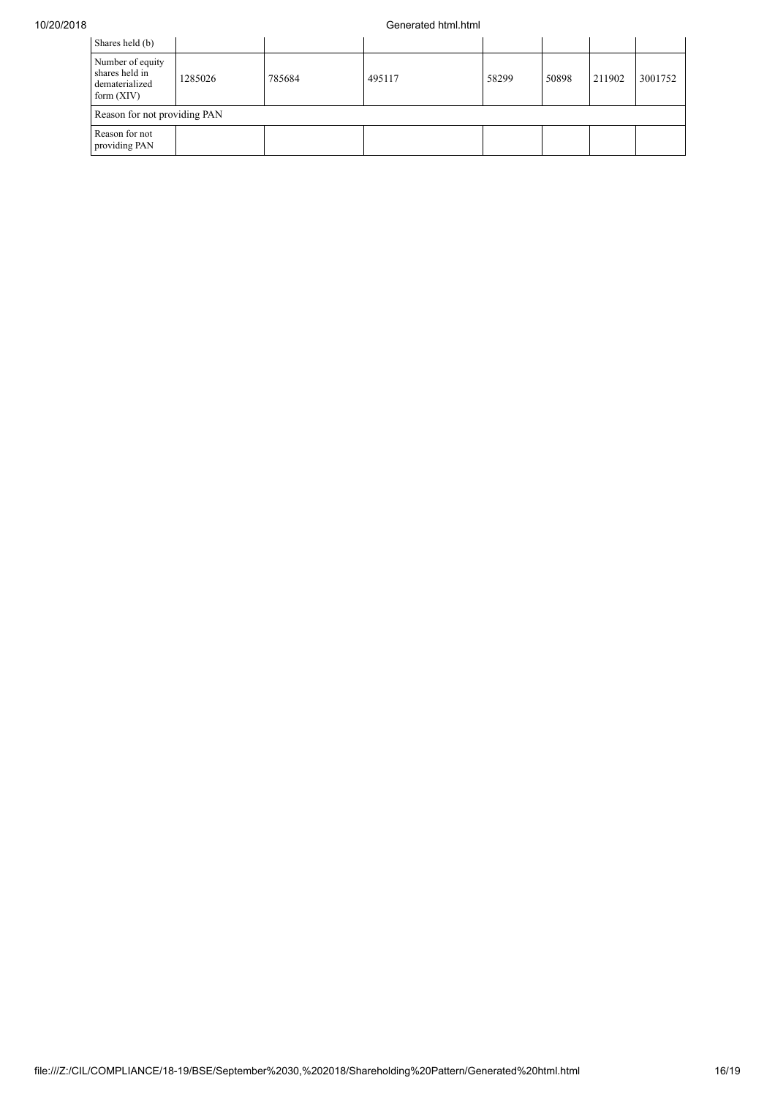## 10/20/2018 Generated html.html

| Shares held (b)                                                      |         |        |        |       |       |        |         |
|----------------------------------------------------------------------|---------|--------|--------|-------|-------|--------|---------|
| Number of equity<br>shares held in<br>dematerialized<br>form $(XIV)$ | 1285026 | 785684 | 495117 | 58299 | 50898 | 211902 | 3001752 |
| Reason for not providing PAN                                         |         |        |        |       |       |        |         |
| Reason for not<br>providing PAN                                      |         |        |        |       |       |        |         |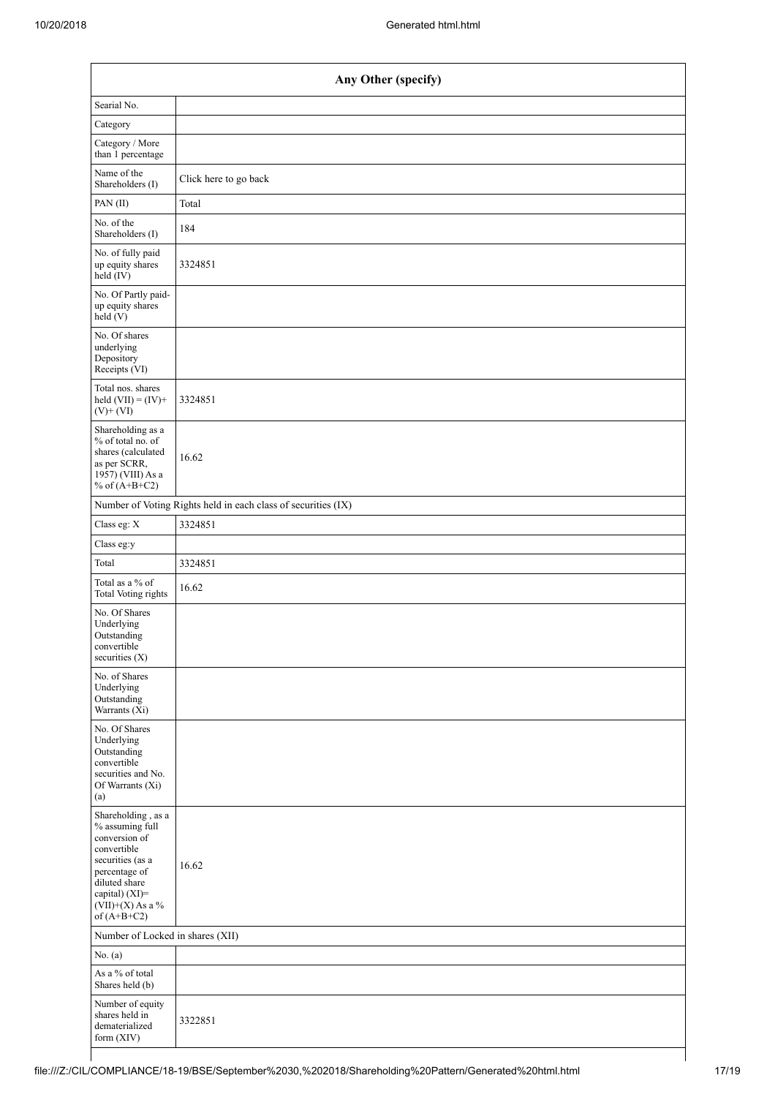| Any Other (specify)                                                                                                                                                                  |                                                               |  |  |  |
|--------------------------------------------------------------------------------------------------------------------------------------------------------------------------------------|---------------------------------------------------------------|--|--|--|
| Searial No.                                                                                                                                                                          |                                                               |  |  |  |
| Category                                                                                                                                                                             |                                                               |  |  |  |
| Category / More<br>than 1 percentage                                                                                                                                                 |                                                               |  |  |  |
| Name of the<br>Shareholders (I)                                                                                                                                                      | Click here to go back                                         |  |  |  |
| PAN(II)                                                                                                                                                                              | Total                                                         |  |  |  |
| No. of the<br>Shareholders (I)                                                                                                                                                       | 184                                                           |  |  |  |
| No. of fully paid<br>up equity shares<br>$\text{held}(\text{IV})$                                                                                                                    | 3324851                                                       |  |  |  |
| No. Of Partly paid-<br>up equity shares<br>held(V)                                                                                                                                   |                                                               |  |  |  |
| No. Of shares<br>underlying<br>Depository<br>Receipts (VI)                                                                                                                           |                                                               |  |  |  |
| Total nos. shares<br>held $(VII) = (IV) +$<br>$(V)$ + $(VI)$                                                                                                                         | 3324851                                                       |  |  |  |
| Shareholding as a<br>% of total no. of<br>shares (calculated<br>as per SCRR,<br>1957) (VIII) As a<br>% of $(A+B+C2)$                                                                 | 16.62                                                         |  |  |  |
|                                                                                                                                                                                      | Number of Voting Rights held in each class of securities (IX) |  |  |  |
| Class eg: X                                                                                                                                                                          | 3324851                                                       |  |  |  |
| Class eg:y                                                                                                                                                                           |                                                               |  |  |  |
| Total                                                                                                                                                                                | 3324851                                                       |  |  |  |
| Total as a % of<br><b>Total Voting rights</b>                                                                                                                                        | 16.62                                                         |  |  |  |
| No. Of Shares<br>Underlying<br>Outstanding<br>convertible<br>securities (X)                                                                                                          |                                                               |  |  |  |
| No. of Shares<br>Underlying<br>Outstanding<br>Warrants (Xi)                                                                                                                          |                                                               |  |  |  |
| No. Of Shares<br>Underlying<br>Outstanding<br>convertible<br>securities and No.<br>Of Warrants (Xi)<br>(a)                                                                           |                                                               |  |  |  |
| Shareholding, as a<br>% assuming full<br>conversion of<br>convertible<br>securities (as a<br>percentage of<br>diluted share<br>capital) (XI)=<br>$(VII)+(X)$ As a %<br>of $(A+B+C2)$ | 16.62                                                         |  |  |  |
| Number of Locked in shares (XII)                                                                                                                                                     |                                                               |  |  |  |
| No. $(a)$                                                                                                                                                                            |                                                               |  |  |  |
| As a % of total<br>Shares held (b)                                                                                                                                                   |                                                               |  |  |  |
| Number of equity<br>shares held in<br>dematerialized<br>form (XIV)                                                                                                                   | 3322851                                                       |  |  |  |